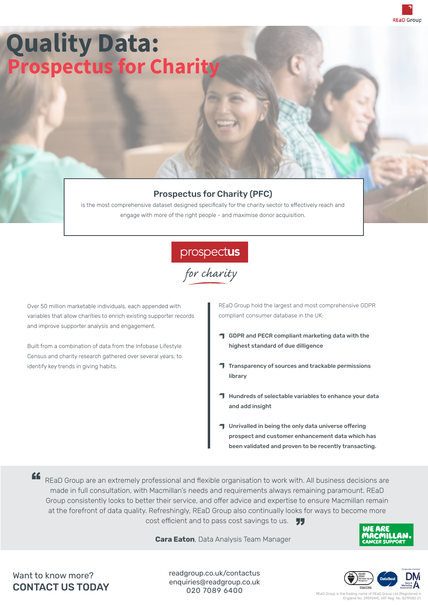

## **Quality Data: Prospectus for Charity**

### Prospectus for Charity (PFC)

is the most comprehensive dataset designed specifically for the charity sector to effectively reach and engage with more of the right people - and maximise donor acquisition.

prospectus<br>for charity

Over 50 million marketable individuals, each appended with variables that allow charities to enrich existing supporter records and improve supporter analysis and engagement.

Built from a combination of data from the Infobase Lifestyle Census and charity research gathered over several years, to identify key trends in giving habits.

REaD Group hold the largest and most comprehensive GDPR compliant consumer database in the UK:

- **T** GDPR and PECR compliant marketing data with the highest standard of due dilligence
- **T** Transparency of sources and trackable permissions library
- **T** Hundreds of selectable variables to enhance your data and add insight
- Unrivalled in being the only data universe offering prospect and customer enhancement data which has been validated and proven to be recently transacting.

REaD Group are an extremely professional and flexible organisation to work with. All business decisions are made in full consultation, with Macmillan's needs and requirements always remaining paramount. REaD Group consistently looks to better their service, and offer advice and expertise to ensure Macmillan remain at the forefront of data quality. Refreshingly, REaD Group also continually looks for ways to become more cost efficient and to pass cost savings to us.  $\qquad \qquad \bullet$ "

 **Cara Eaton**, Data Analysis Team Manager



Want to know more? CONTACT US TODAY readgroup.co.uk/contactus enquiries@readgroup.co.uk 020 7089 6400



REaD Group is the trading name of REaD Group Ltd (F England No. 2959244). VAT Reg. No. 8219580 21.